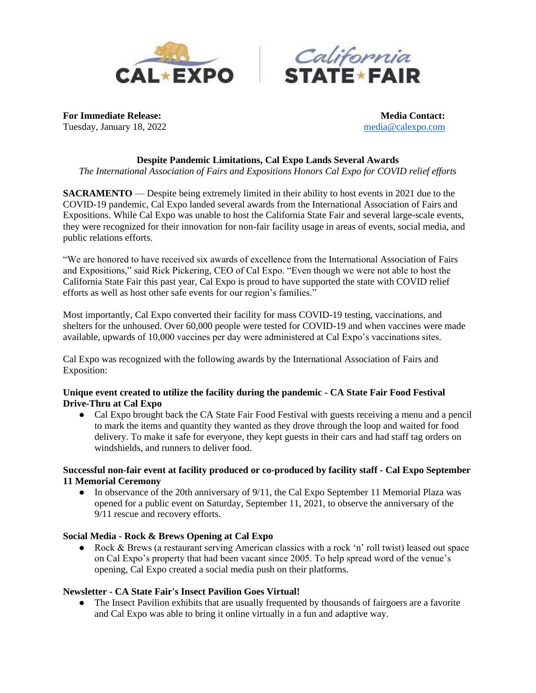



**For Immediate Release: Media Contact: Media Contact:** Tuesday, January 18, 2022 [media@calexpo.com](mailto:media@calexpo.com)

#### **Despite Pandemic Limitations, Cal Expo Lands Several Awards**

*The International Association of Fairs and Expositions Honors Cal Expo for COVID relief efforts*

**SACRAMENTO** — Despite being extremely limited in their ability to host events in 2021 due to the COVID-19 pandemic, Cal Expo landed several awards from the International Association of Fairs and Expositions. While Cal Expo was unable to host the California State Fair and several large-scale events, they were recognized for their innovation for non-fair facility usage in areas of events, social media, and public relations efforts.

"We are honored to have received six awards of excellence from the International Association of Fairs and Expositions," said Rick Pickering, CEO of Cal Expo. "Even though we were not able to host the California State Fair this past year, Cal Expo is proud to have supported the state with COVID relief efforts as well as host other safe events for our region's families."

Most importantly, Cal Expo converted their facility for mass COVID-19 testing, vaccinations, and shelters for the unhoused. Over 60,000 people were tested for COVID-19 and when vaccines were made available, upwards of 10,000 vaccines per day were administered at Cal Expo's vaccinations sites.

Cal Expo was recognized with the following awards by the International Association of Fairs and Exposition:

## **Unique event created to utilize the facility during the pandemic - CA State Fair Food Festival Drive-Thru at Cal Expo**

• Cal Expo brought back the CA State Fair Food Festival with guests receiving a menu and a pencil to mark the items and quantity they wanted as they drove through the loop and waited for food delivery. To make it safe for everyone, they kept guests in their cars and had staff tag orders on windshields, and runners to deliver food.

## **Successful non-fair event at facility produced or co-produced by facility staff - Cal Expo September 11 Memorial Ceremony**

● In observance of the 20th anniversary of 9/11, the Cal Expo September 11 Memorial Plaza was opened for a public event on Saturday, September 11, 2021, to observe the anniversary of the 9/11 rescue and recovery efforts.

## **Social Media - Rock & Brews Opening at Cal Expo**

● Rock & Brews (a restaurant serving American classics with a rock 'n' roll twist) leased out space on Cal Expo's property that had been vacant since 2005. To help spread word of the venue's opening, Cal Expo created a social media push on their platforms.

#### **Newsletter - CA State Fair's Insect Pavilion Goes Virtual!**

• The Insect Pavilion exhibits that are usually frequented by thousands of fairgoers are a favorite and Cal Expo was able to bring it online virtually in a fun and adaptive way.